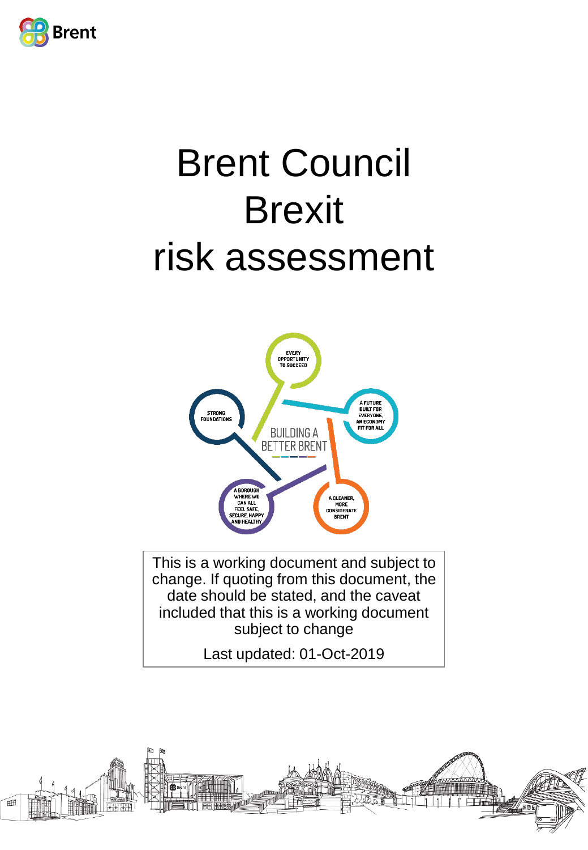

# Brent Council **Brexit** risk assessment



This is a working document and subject to change. If quoting from this document, the date should be stated, and the caveat included that this is a working document subject to change

Last updated: 01-Oct-2019

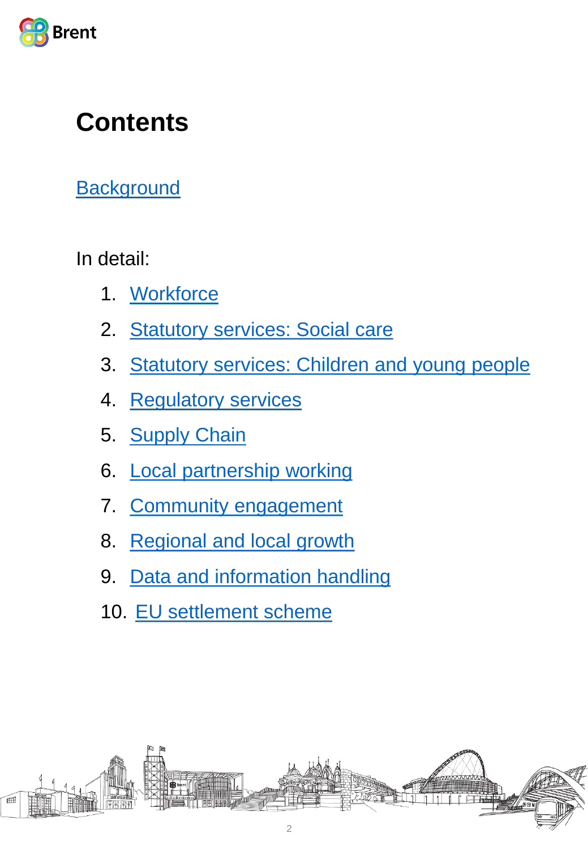

## **Contents**

**[Background](#page-2-0)** 

In detail:

- 1. [Workforce](#page-3-0)
- 2. [Statutory services: Social care](#page-6-0)
- 3. [Statutory services: Children and young people](#page-9-0)
- 4. [Regulatory services](#page-12-0)
- 5. [Supply Chain](#page-14-0)
- 6. [Local partnership working](#page-16-0)
- 7. [Community engagement](#page-20-0)
- 8. [Regional and local growth](#page-23-0)
- 9. [Data and information handling](#page-26-0)
- 10. [EU settlement scheme](#page-28-0)

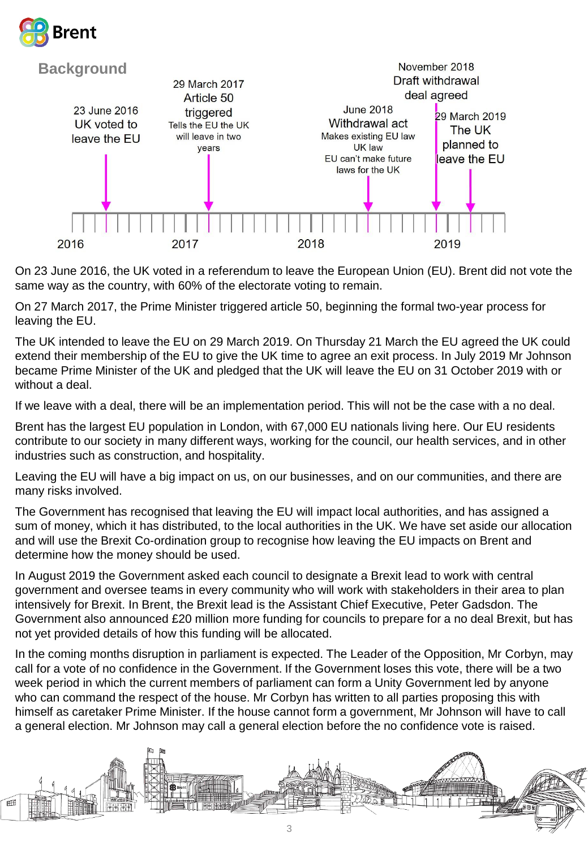



On 23 June 2016, the UK voted in a referendum to leave the European Union (EU). Brent did not vote the same way as the country, with 60% of the electorate voting to remain.

On 27 March 2017, the Prime Minister triggered article 50, beginning the formal two-year process for leaving the EU.

The UK intended to leave the EU on 29 March 2019. On Thursday 21 March the EU agreed the UK could extend their membership of the EU to give the UK time to agree an exit process. In July 2019 Mr Johnson became Prime Minister of the UK and pledged that the UK will leave the EU on 31 October 2019 with or without a deal.

If we leave with a deal, there will be an implementation period. This will not be the case with a no deal.

Brent has the largest EU population in London, with 67,000 EU nationals living here. Our EU residents contribute to our society in many different ways, working for the council, our health services, and in other industries such as construction, and hospitality.

Leaving the EU will have a big impact on us, on our businesses, and on our communities, and there are many risks involved.

The Government has recognised that leaving the EU will impact local authorities, and has assigned a sum of money, which it has distributed, to the local authorities in the UK. We have set aside our allocation and will use the Brexit Co-ordination group to recognise how leaving the EU impacts on Brent and determine how the money should be used.

In August 2019 the Government asked each council to designate a Brexit lead to work with central government and oversee teams in every community who will work with stakeholders in their area to plan intensively for Brexit. In Brent, the Brexit lead is the Assistant Chief Executive, Peter Gadsdon. The Government also announced £20 million more funding for councils to prepare for a no deal Brexit, but has not yet provided details of how this funding will be allocated.

In the coming months disruption in parliament is expected. The Leader of the Opposition, Mr Corbyn, may call for a vote of no confidence in the Government. If the Government loses this vote, there will be a two week period in which the current members of parliament can form a Unity Government led by anyone who can command the respect of the house. Mr Corbyn has written to all parties proposing this with himself as caretaker Prime Minister. If the house cannot form a government, Mr Johnson will have to call a general election. Mr Johnson may call a general election before the no confidence vote is raised.

<span id="page-2-0"></span>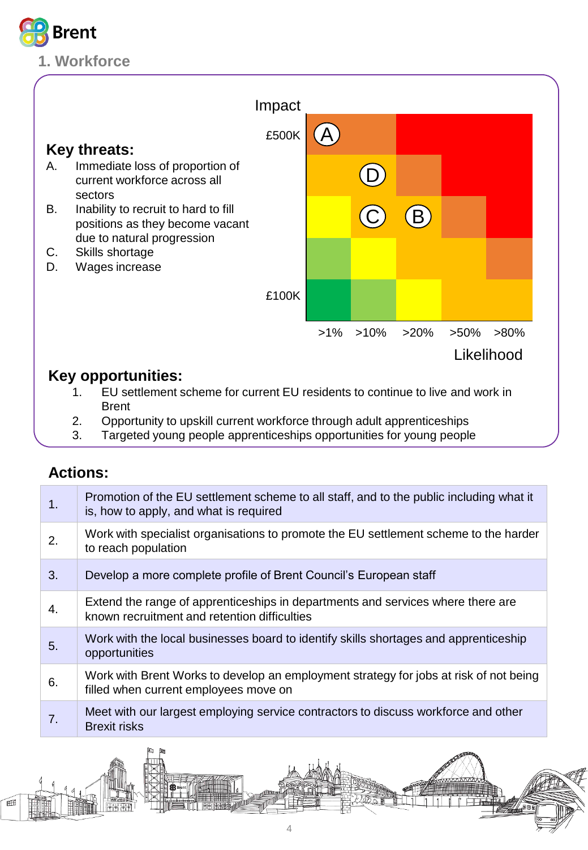

## **1. Workforce**



## **Key opportunities:**

- 1. EU settlement scheme for current EU residents to continue to live and work in Brent
- 2. Opportunity to upskill current workforce through adult apprenticeships
- 3. Targeted young people apprenticeships opportunities for young people

| 1. | Promotion of the EU settlement scheme to all staff, and to the public including what it<br>is, how to apply, and what is required |
|----|-----------------------------------------------------------------------------------------------------------------------------------|
| 2. | Work with specialist organisations to promote the EU settlement scheme to the harder<br>to reach population                       |
| 3. | Develop a more complete profile of Brent Council's European staff                                                                 |
| 4. | Extend the range of apprenticeships in departments and services where there are<br>known recruitment and retention difficulties   |
| 5. | Work with the local businesses board to identify skills shortages and apprenticeship<br>opportunities                             |
| 6. | Work with Brent Works to develop an employment strategy for jobs at risk of not being<br>filled when current employees move on    |
| 7. | Meet with our largest employing service contractors to discuss workforce and other<br><b>Brexit risks</b>                         |

<span id="page-3-0"></span>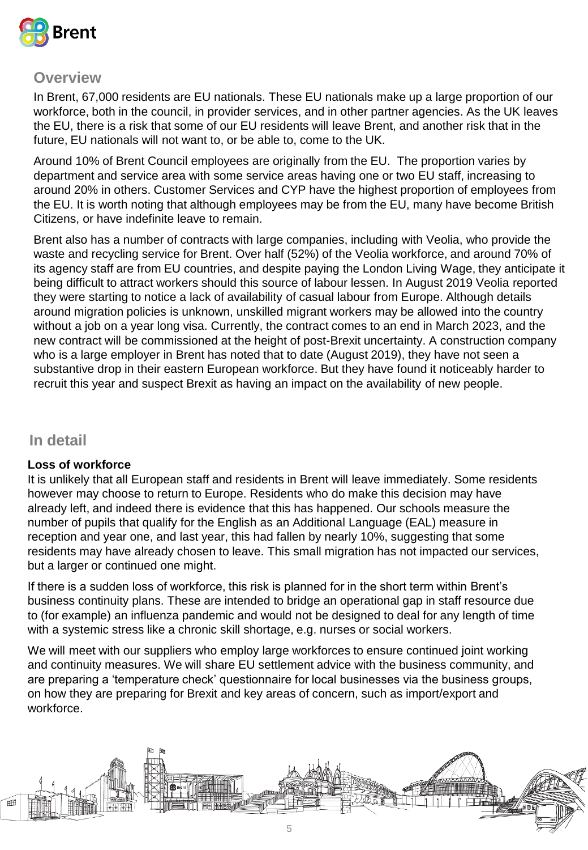

In Brent, 67,000 residents are EU nationals. These EU nationals make up a large proportion of our workforce, both in the council, in provider services, and in other partner agencies. As the UK leaves the EU, there is a risk that some of our EU residents will leave Brent, and another risk that in the future, EU nationals will not want to, or be able to, come to the UK.

Around 10% of Brent Council employees are originally from the EU. The proportion varies by department and service area with some service areas having one or two EU staff, increasing to around 20% in others. Customer Services and CYP have the highest proportion of employees from the EU. It is worth noting that although employees may be from the EU, many have become British Citizens, or have indefinite leave to remain.

Brent also has a number of contracts with large companies, including with Veolia, who provide the waste and recycling service for Brent. Over half (52%) of the Veolia workforce, and around 70% of its agency staff are from EU countries, and despite paying the London Living Wage, they anticipate it being difficult to attract workers should this source of labour lessen. In August 2019 Veolia reported they were starting to notice a lack of availability of casual labour from Europe. Although details around migration policies is unknown, unskilled migrant workers may be allowed into the country without a job on a year long visa. Currently, the contract comes to an end in March 2023, and the new contract will be commissioned at the height of post-Brexit uncertainty. A construction company who is a large employer in Brent has noted that to date (August 2019), they have not seen a substantive drop in their eastern European workforce. But they have found it noticeably harder to recruit this year and suspect Brexit as having an impact on the availability of new people.

#### **In detail**

#### **Loss of workforce**

It is unlikely that all European staff and residents in Brent will leave immediately. Some residents however may choose to return to Europe. Residents who do make this decision may have already left, and indeed there is evidence that this has happened. Our schools measure the number of pupils that qualify for the English as an Additional Language (EAL) measure in reception and year one, and last year, this had fallen by nearly 10%, suggesting that some residents may have already chosen to leave. This small migration has not impacted our services, but a larger or continued one might.

If there is a sudden loss of workforce, this risk is planned for in the short term within Brent's business continuity plans. These are intended to bridge an operational gap in staff resource due to (for example) an influenza pandemic and would not be designed to deal for any length of time with a systemic stress like a chronic skill shortage, e.g. nurses or social workers.

We will meet with our suppliers who employ large workforces to ensure continued joint working and continuity measures. We will share EU settlement advice with the business community, and are preparing a 'temperature check' questionnaire for local businesses via the business groups, on how they are preparing for Brexit and key areas of concern, such as import/export and workforce.

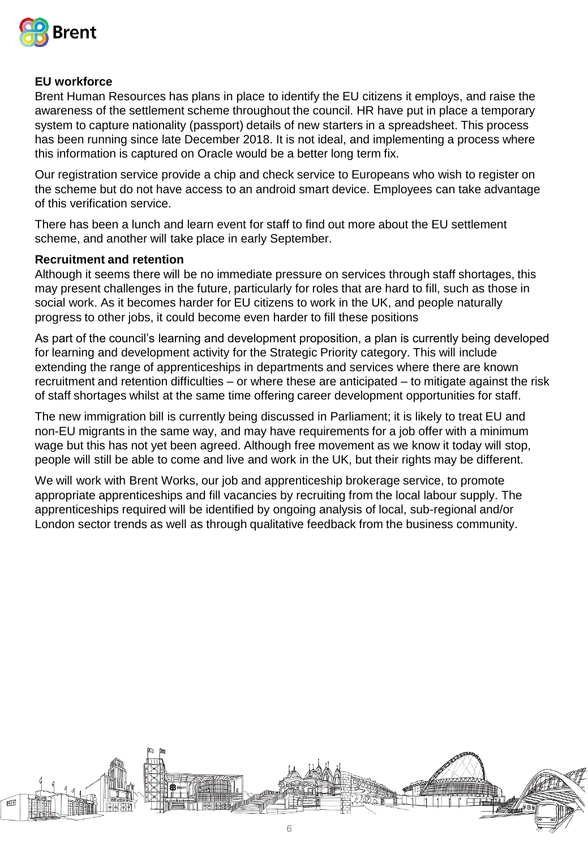

#### **EU workforce**

Brent Human Resources has plans in place to identify the EU citizens it employs, and raise the awareness of the settlement scheme throughout the council. HR have put in place a temporary system to capture nationality (passport) details of new starters in a spreadsheet. This process has been running since late December 2018. It is not ideal, and implementing a process where this information is captured on Oracle would be a better long term fix.

Our registration service provide a chip and check service to Europeans who wish to register on the scheme but do not have access to an android smart device. Employees can take advantage of this verification service.

There has been a lunch and learn event for staff to find out more about the EU settlement scheme, and another will take place in early September.

#### **Recruitment and retention**

Although it seems there will be no immediate pressure on services through staff shortages, this may present challenges in the future, particularly for roles that are hard to fill, such as those in social work. As it becomes harder for EU citizens to work in the UK, and people naturally progress to other jobs, it could become even harder to fill these positions

As part of the council's learning and development proposition, a plan is currently being developed for learning and development activity for the Strategic Priority category. This will include extending the range of apprenticeships in departments and services where there are known recruitment and retention difficulties – or where these are anticipated – to mitigate against the risk of staff shortages whilst at the same time offering career development opportunities for staff.

The new immigration bill is currently being discussed in Parliament; it is likely to treat EU and non-EU migrants in the same way, and may have requirements for a job offer with a minimum wage but this has not yet been agreed. Although free movement as we know it today will stop, people will still be able to come and live and work in the UK, but their rights may be different.

We will work with Brent Works, our job and apprenticeship brokerage service, to promote appropriate apprenticeships and fill vacancies by recruiting from the local labour supply. The apprenticeships required will be identified by ongoing analysis of local, sub-regional and/or London sector trends as well as through qualitative feedback from the business community.

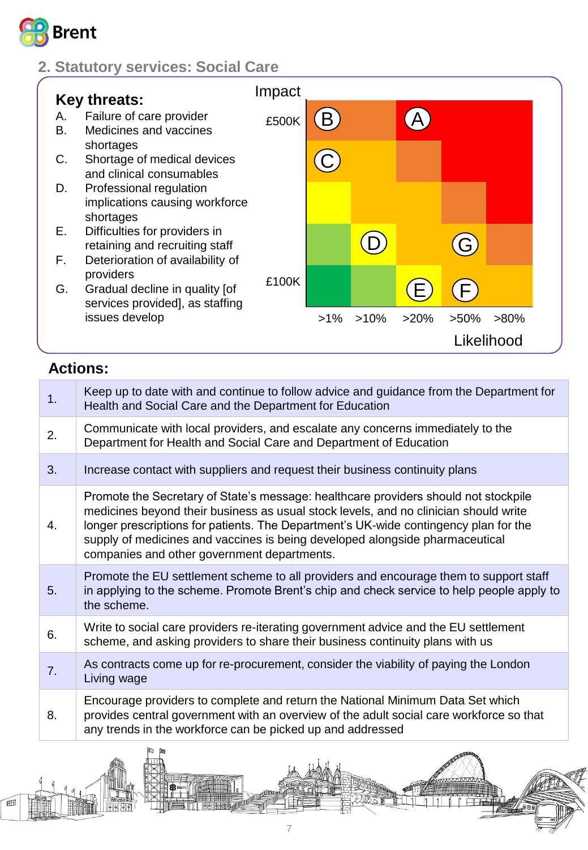

## **2. Statutory services: Social Care**



## **Actions:**

<span id="page-6-0"></span>Æ

| 1. | Keep up to date with and continue to follow advice and guidance from the Department for<br>Health and Social Care and the Department for Education                                                                                                                                                                                                                                                 |
|----|----------------------------------------------------------------------------------------------------------------------------------------------------------------------------------------------------------------------------------------------------------------------------------------------------------------------------------------------------------------------------------------------------|
| 2. | Communicate with local providers, and escalate any concerns immediately to the<br>Department for Health and Social Care and Department of Education                                                                                                                                                                                                                                                |
| 3. | Increase contact with suppliers and request their business continuity plans                                                                                                                                                                                                                                                                                                                        |
| 4. | Promote the Secretary of State's message: healthcare providers should not stockpile<br>medicines beyond their business as usual stock levels, and no clinician should write<br>longer prescriptions for patients. The Department's UK-wide contingency plan for the<br>supply of medicines and vaccines is being developed alongside pharmaceutical<br>companies and other government departments. |
| 5. | Promote the EU settlement scheme to all providers and encourage them to support staff<br>in applying to the scheme. Promote Brent's chip and check service to help people apply to<br>the scheme.                                                                                                                                                                                                  |
| 6. | Write to social care providers re-iterating government advice and the EU settlement<br>scheme, and asking providers to share their business continuity plans with us                                                                                                                                                                                                                               |
| 7. | As contracts come up for re-procurement, consider the viability of paying the London<br>Living wage                                                                                                                                                                                                                                                                                                |
| 8. | Encourage providers to complete and return the National Minimum Data Set which<br>provides central government with an overview of the adult social care workforce so that<br>any trends in the workforce can be picked up and addressed                                                                                                                                                            |
|    | 国国                                                                                                                                                                                                                                                                                                                                                                                                 |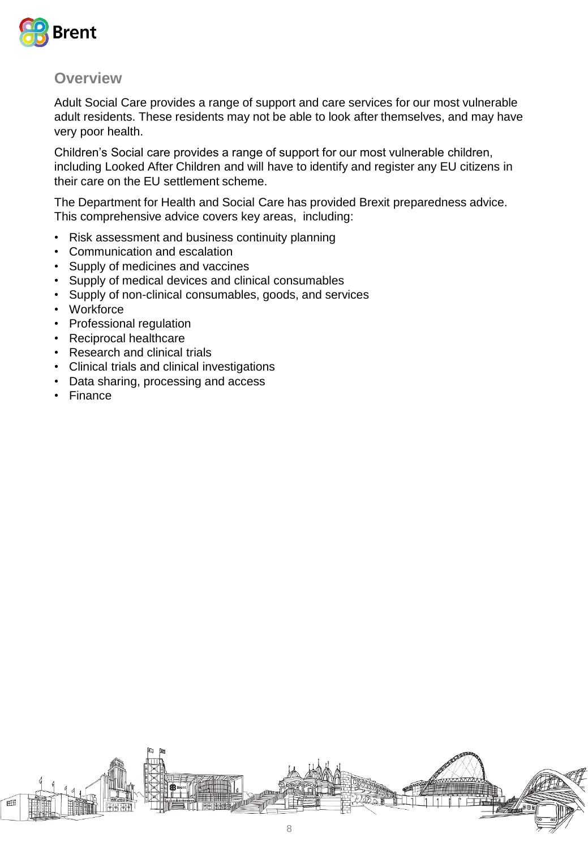

Adult Social Care provides a range of support and care services for our most vulnerable adult residents. These residents may not be able to look after themselves, and may have very poor health.

Children's Social care provides a range of support for our most vulnerable children, including Looked After Children and will have to identify and register any EU citizens in their care on the EU settlement scheme.

The Department for Health and Social Care has provided Brexit preparedness advice. This comprehensive advice covers key areas, including:

- Risk assessment and business continuity planning
- Communication and escalation
- Supply of medicines and vaccines
- Supply of medical devices and clinical consumables
- Supply of non-clinical consumables, goods, and services
- Workforce
- Professional regulation
- Reciprocal healthcare
- Research and clinical trials
- Clinical trials and clinical investigations
- Data sharing, processing and access
- Finance

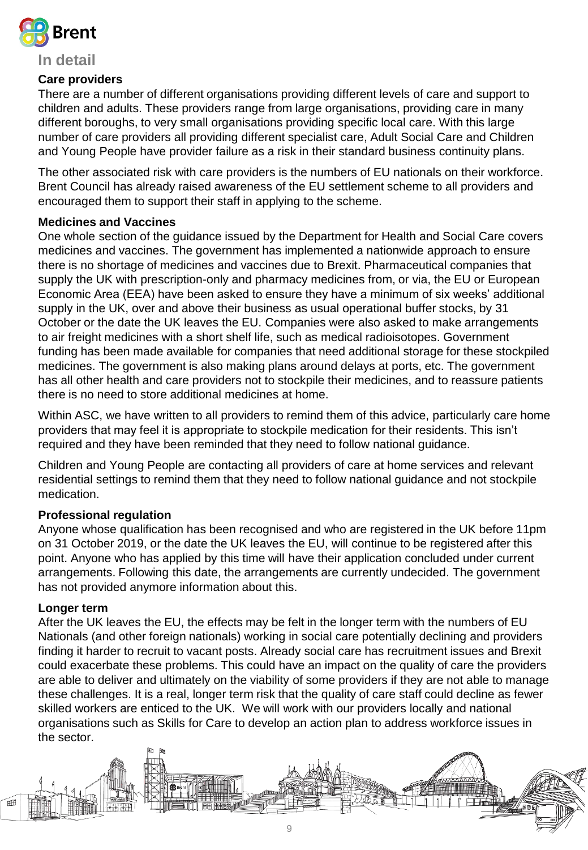

#### **In detail**

#### **Care providers**

There are a number of different organisations providing different levels of care and support to children and adults. These providers range from large organisations, providing care in many different boroughs, to very small organisations providing specific local care. With this large number of care providers all providing different specialist care, Adult Social Care and Children and Young People have provider failure as a risk in their standard business continuity plans.

The other associated risk with care providers is the numbers of EU nationals on their workforce. Brent Council has already raised awareness of the EU settlement scheme to all providers and encouraged them to support their staff in applying to the scheme.

#### **Medicines and Vaccines**

One whole section of the guidance issued by the Department for Health and Social Care covers medicines and vaccines. The government has implemented a nationwide approach to ensure there is no shortage of medicines and vaccines due to Brexit. Pharmaceutical companies that supply the UK with prescription-only and pharmacy medicines from, or via, the EU or European Economic Area (EEA) have been asked to ensure they have a minimum of six weeks' additional supply in the UK, over and above their business as usual operational buffer stocks, by 31 October or the date the UK leaves the EU. Companies were also asked to make arrangements to air freight medicines with a short shelf life, such as medical radioisotopes. Government funding has been made available for companies that need additional storage for these stockpiled medicines. The government is also making plans around delays at ports, etc. The government has all other health and care providers not to stockpile their medicines, and to reassure patients there is no need to store additional medicines at home.

Within ASC, we have written to all providers to remind them of this advice, particularly care home providers that may feel it is appropriate to stockpile medication for their residents. This isn't required and they have been reminded that they need to follow national guidance.

Children and Young People are contacting all providers of care at home services and relevant residential settings to remind them that they need to follow national guidance and not stockpile medication.

#### **Professional regulation**

Anyone whose qualification has been recognised and who are registered in the UK before 11pm on 31 October 2019, or the date the UK leaves the EU, will continue to be registered after this point. Anyone who has applied by this time will have their application concluded under current arrangements. Following this date, the arrangements are currently undecided. The government has not provided anymore information about this.

#### **Longer term**

After the UK leaves the EU, the effects may be felt in the longer term with the numbers of EU Nationals (and other foreign nationals) working in social care potentially declining and providers finding it harder to recruit to vacant posts. Already social care has recruitment issues and Brexit could exacerbate these problems. This could have an impact on the quality of care the providers are able to deliver and ultimately on the viability of some providers if they are not able to manage these challenges. It is a real, longer term risk that the quality of care staff could decline as fewer skilled workers are enticed to the UK. We will work with our providers locally and national organisations such as Skills for Care to develop an action plan to address workforce issues in the sector.

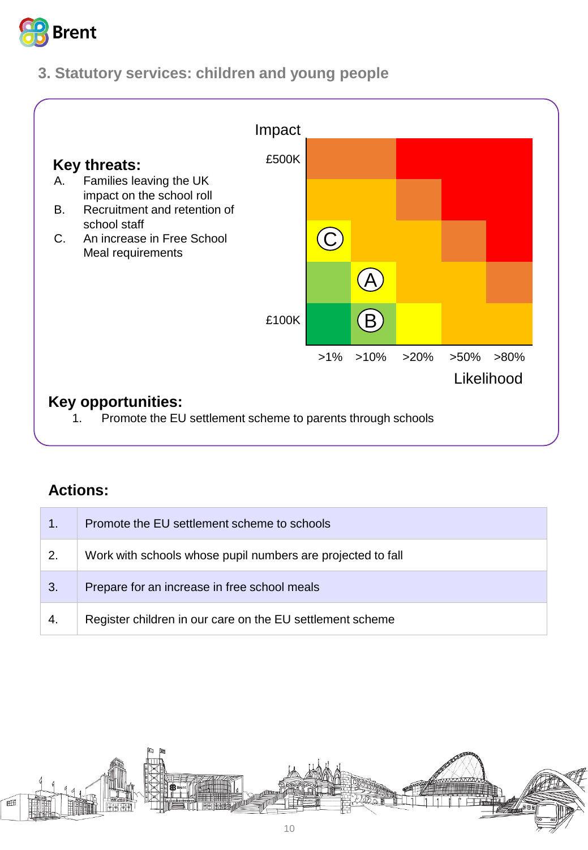

## **3. Statutory services: children and young people**



| 1.           | Promote the EU settlement scheme to schools                 |
|--------------|-------------------------------------------------------------|
| $\mathbf{2}$ | Work with schools whose pupil numbers are projected to fall |
| 3.           | Prepare for an increase in free school meals                |
| -4.          | Register children in our care on the EU settlement scheme   |

<span id="page-9-0"></span>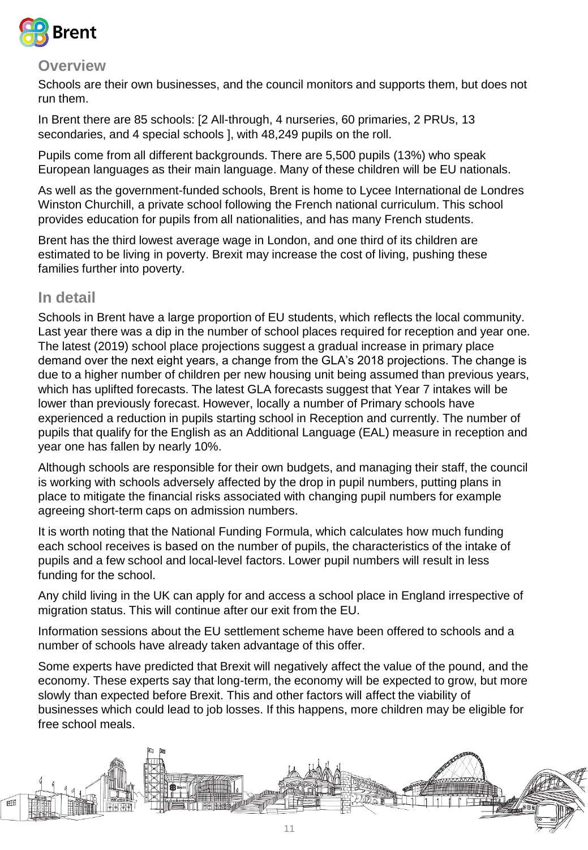

Schools are their own businesses, and the council monitors and supports them, but does not run them.

In Brent there are 85 schools: [2 All-through, 4 nurseries, 60 primaries, 2 PRUs, 13 secondaries, and 4 special schools ], with 48,249 pupils on the roll.

Pupils come from all different backgrounds. There are 5,500 pupils (13%) who speak European languages as their main language. Many of these children will be EU nationals.

As well as the government-funded schools, Brent is home to Lycee International de Londres Winston Churchill, a private school following the French national curriculum. This school provides education for pupils from all nationalities, and has many French students.

Brent has the third lowest average wage in London, and one third of its children are estimated to be living in poverty. Brexit may increase the cost of living, pushing these families further into poverty.

#### **In detail**

Schools in Brent have a large proportion of EU students, which reflects the local community. Last year there was a dip in the number of school places required for reception and year one. The latest (2019) school place projections suggest a gradual increase in primary place demand over the next eight years, a change from the GLA's 2018 projections. The change is due to a higher number of children per new housing unit being assumed than previous years, which has uplifted forecasts. The latest GLA forecasts suggest that Year 7 intakes will be lower than previously forecast. However, locally a number of Primary schools have experienced a reduction in pupils starting school in Reception and currently. The number of pupils that qualify for the English as an Additional Language (EAL) measure in reception and year one has fallen by nearly 10%.

Although schools are responsible for their own budgets, and managing their staff, the council is working with schools adversely affected by the drop in pupil numbers, putting plans in place to mitigate the financial risks associated with changing pupil numbers for example agreeing short-term caps on admission numbers.

It is worth noting that the National Funding Formula, which calculates how much funding each school receives is based on the number of pupils, the characteristics of the intake of pupils and a few school and local-level factors. Lower pupil numbers will result in less funding for the school.

Any child living in the UK can apply for and access a school place in England irrespective of migration status. This will continue after our exit from the EU.

Information sessions about the EU settlement scheme have been offered to schools and a number of schools have already taken advantage of this offer.

Some experts have predicted that Brexit will negatively affect the value of the pound, and the economy. These experts say that long-term, the economy will be expected to grow, but more slowly than expected before Brexit. This and other factors will affect the viability of businesses which could lead to job losses. If this happens, more children may be eligible for free school meals.

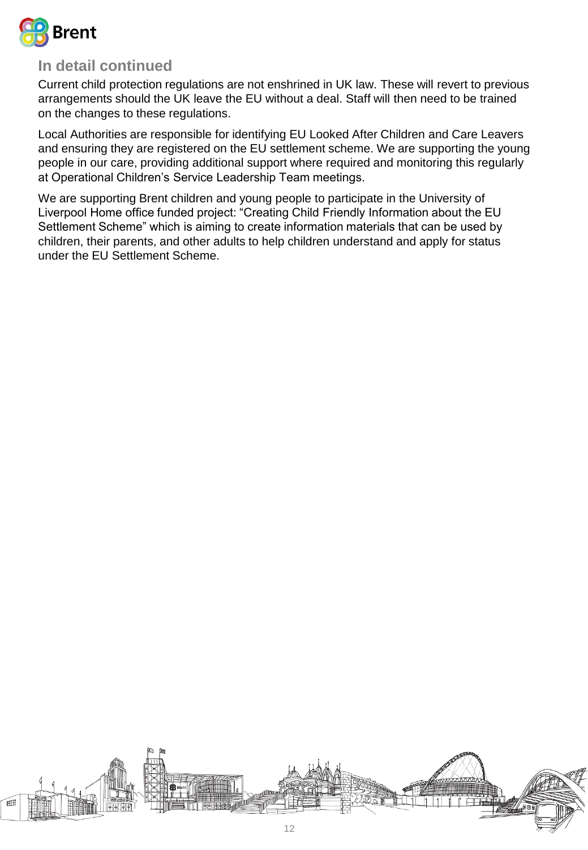

## **In detail continued**

Current child protection regulations are not enshrined in UK law. These will revert to previous arrangements should the UK leave the EU without a deal. Staff will then need to be trained on the changes to these regulations.

Local Authorities are responsible for identifying EU Looked After Children and Care Leavers and ensuring they are registered on the EU settlement scheme. We are supporting the young people in our care, providing additional support where required and monitoring this regularly at Operational Children's Service Leadership Team meetings.

We are supporting Brent children and young people to participate in the University of Liverpool Home office funded project: "Creating Child Friendly Information about the EU Settlement Scheme" which is aiming to create information materials that can be used by children, their parents, and other adults to help children understand and apply for status under the EU Settlement Scheme.

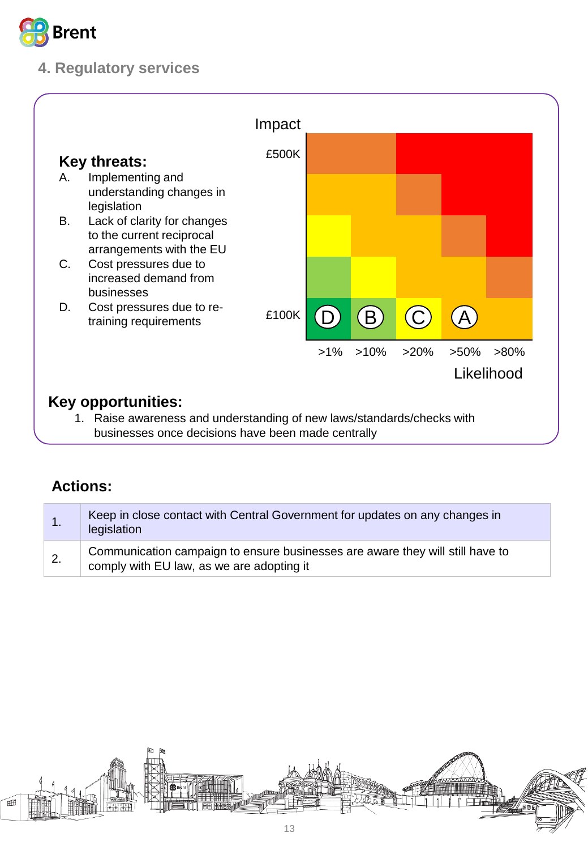

## **4. Regulatory services**



| Keep in close contact with Central Government for updates on any changes in<br>legislation                                 |
|----------------------------------------------------------------------------------------------------------------------------|
| Communication campaign to ensure businesses are aware they will still have to<br>comply with EU law, as we are adopting it |

<span id="page-12-0"></span>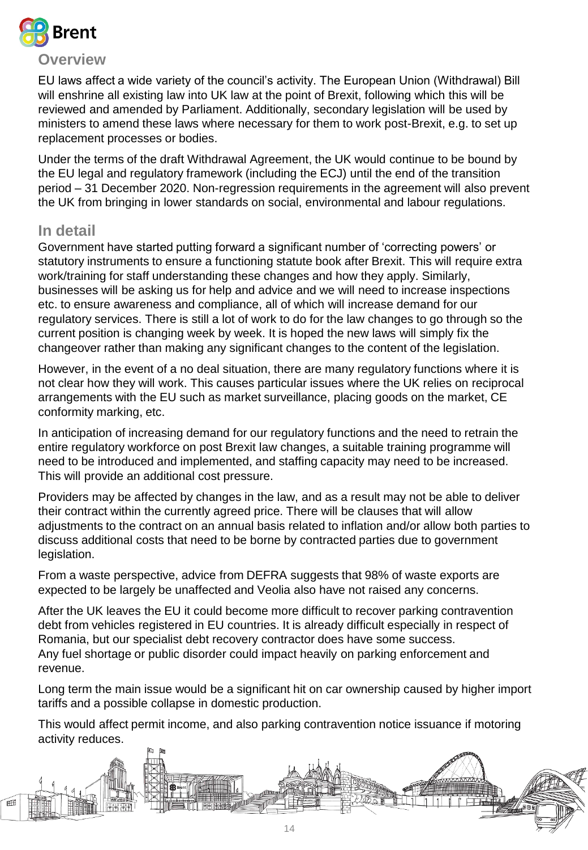

EU laws affect a wide variety of the council's activity. The European Union (Withdrawal) Bill will enshrine all existing law into UK law at the point of Brexit, following which this will be reviewed and amended by Parliament. Additionally, secondary legislation will be used by ministers to amend these laws where necessary for them to work post-Brexit, e.g. to set up replacement processes or bodies.

Under the terms of the draft Withdrawal Agreement, the UK would continue to be bound by the EU legal and regulatory framework (including the ECJ) until the end of the transition period – 31 December 2020. Non-regression requirements in the agreement will also prevent the UK from bringing in lower standards on social, environmental and labour regulations.

#### **In detail**

Government have started putting forward a significant number of 'correcting powers' or statutory instruments to ensure a functioning statute book after Brexit. This will require extra work/training for staff understanding these changes and how they apply. Similarly, businesses will be asking us for help and advice and we will need to increase inspections etc. to ensure awareness and compliance, all of which will increase demand for our regulatory services. There is still a lot of work to do for the law changes to go through so the current position is changing week by week. It is hoped the new laws will simply fix the changeover rather than making any significant changes to the content of the legislation.

However, in the event of a no deal situation, there are many regulatory functions where it is not clear how they will work. This causes particular issues where the UK relies on reciprocal arrangements with the EU such as market surveillance, placing goods on the market, CE conformity marking, etc.

In anticipation of increasing demand for our regulatory functions and the need to retrain the entire regulatory workforce on post Brexit law changes, a suitable training programme will need to be introduced and implemented, and staffing capacity may need to be increased. This will provide an additional cost pressure.

Providers may be affected by changes in the law, and as a result may not be able to deliver their contract within the currently agreed price. There will be clauses that will allow adjustments to the contract on an annual basis related to inflation and/or allow both parties to discuss additional costs that need to be borne by contracted parties due to government legislation.

From a waste perspective, advice from DEFRA suggests that 98% of waste exports are expected to be largely be unaffected and Veolia also have not raised any concerns.

After the UK leaves the EU it could become more difficult to recover parking contravention debt from vehicles registered in EU countries. It is already difficult especially in respect of Romania, but our specialist debt recovery contractor does have some success. Any fuel shortage or public disorder could impact heavily on parking enforcement and revenue.

Long term the main issue would be a significant hit on car ownership caused by higher import tariffs and a possible collapse in domestic production.

This would affect permit income, and also parking contravention notice issuance if motoring activity reduces.

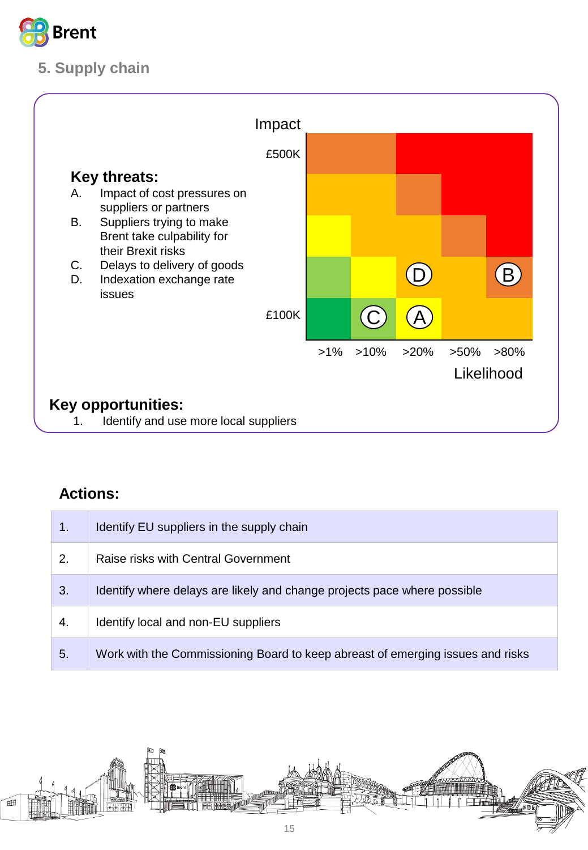

## **5. Supply chain**



| $\mathbf{1}$ . | Identify EU suppliers in the supply chain                                      |
|----------------|--------------------------------------------------------------------------------|
| 2.             | Raise risks with Central Government                                            |
| 3.             | Identify where delays are likely and change projects pace where possible       |
| 4.             | Identify local and non-EU suppliers                                            |
| 5.             | Work with the Commissioning Board to keep abreast of emerging issues and risks |

<span id="page-14-0"></span>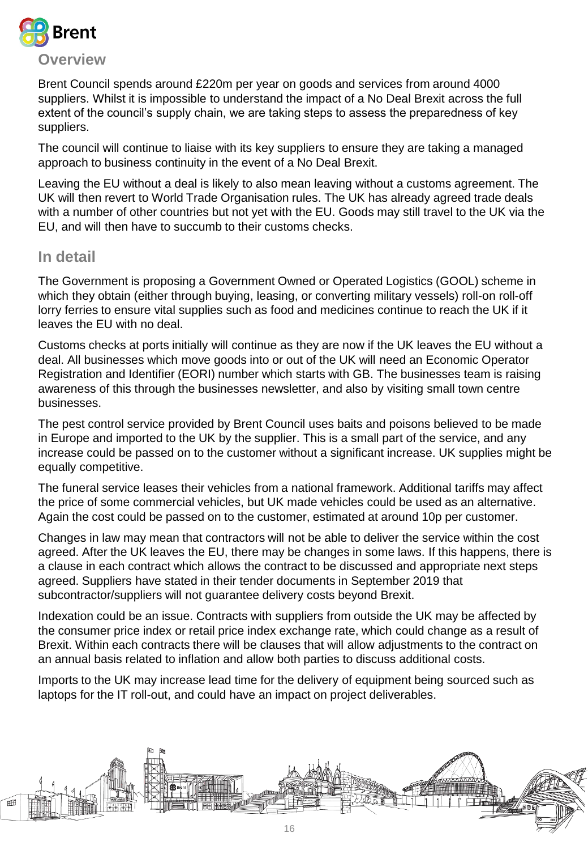

Brent Council spends around £220m per year on goods and services from around 4000 suppliers. Whilst it is impossible to understand the impact of a No Deal Brexit across the full extent of the council's supply chain, we are taking steps to assess the preparedness of key suppliers.

The council will continue to liaise with its key suppliers to ensure they are taking a managed approach to business continuity in the event of a No Deal Brexit.

Leaving the EU without a deal is likely to also mean leaving without a customs agreement. The UK will then revert to World Trade Organisation rules. The UK has already agreed trade deals with a number of other countries but not yet with the EU. Goods may still travel to the UK via the EU, and will then have to succumb to their customs checks.

#### **In detail**

The Government is proposing a Government Owned or Operated Logistics (GOOL) scheme in which they obtain (either through buying, leasing, or converting military vessels) roll-on roll-off lorry ferries to ensure vital supplies such as food and medicines continue to reach the UK if it leaves the EU with no deal.

Customs checks at ports initially will continue as they are now if the UK leaves the EU without a deal. All businesses which move goods into or out of the UK will need an Economic Operator Registration and Identifier (EORI) number which starts with GB. The businesses team is raising awareness of this through the businesses newsletter, and also by visiting small town centre businesses.

The pest control service provided by Brent Council uses baits and poisons believed to be made in Europe and imported to the UK by the supplier. This is a small part of the service, and any increase could be passed on to the customer without a significant increase. UK supplies might be equally competitive.

The funeral service leases their vehicles from a national framework. Additional tariffs may affect the price of some commercial vehicles, but UK made vehicles could be used as an alternative. Again the cost could be passed on to the customer, estimated at around 10p per customer.

Changes in law may mean that contractors will not be able to deliver the service within the cost agreed. After the UK leaves the EU, there may be changes in some laws. If this happens, there is a clause in each contract which allows the contract to be discussed and appropriate next steps agreed. Suppliers have stated in their tender documents in September 2019 that subcontractor/suppliers will not guarantee delivery costs beyond Brexit.

Indexation could be an issue. Contracts with suppliers from outside the UK may be affected by the consumer price index or retail price index exchange rate, which could change as a result of Brexit. Within each contracts there will be clauses that will allow adjustments to the contract on an annual basis related to inflation and allow both parties to discuss additional costs.

Imports to the UK may increase lead time for the delivery of equipment being sourced such as laptops for the IT roll-out, and could have an impact on project deliverables.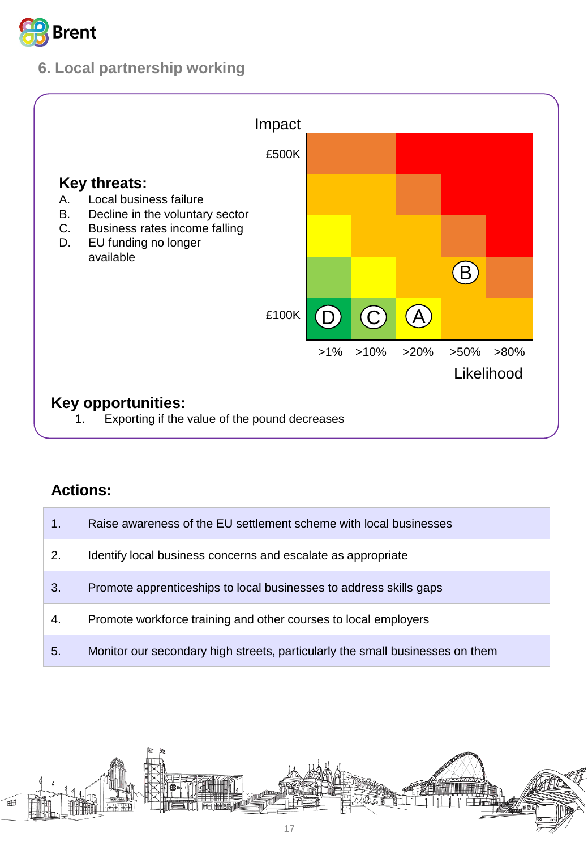

## **6. Local partnership working**



| 1. | Raise awareness of the EU settlement scheme with local businesses             |
|----|-------------------------------------------------------------------------------|
| 2. | Identify local business concerns and escalate as appropriate                  |
| 3. | Promote apprenticeships to local businesses to address skills gaps            |
| 4. | Promote workforce training and other courses to local employers               |
| 5. | Monitor our secondary high streets, particularly the small businesses on them |

<span id="page-16-0"></span>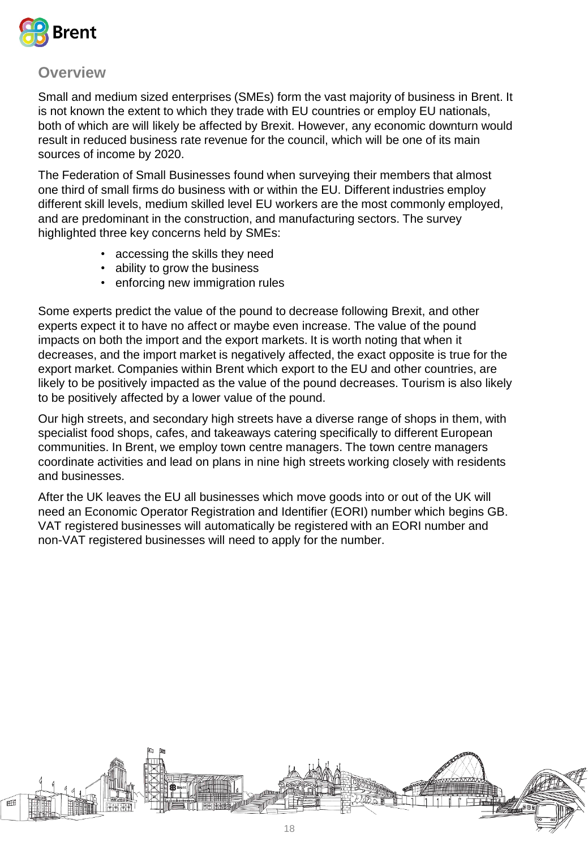

Small and medium sized enterprises (SMEs) form the vast majority of business in Brent. It is not known the extent to which they trade with EU countries or employ EU nationals, both of which are will likely be affected by Brexit. However, any economic downturn would result in reduced business rate revenue for the council, which will be one of its main sources of income by 2020.

The Federation of Small Businesses found when surveying their members that almost one third of small firms do business with or within the EU. Different industries employ different skill levels, medium skilled level EU workers are the most commonly employed, and are predominant in the construction, and manufacturing sectors. The survey highlighted three key concerns held by SMEs:

- accessing the skills they need
- ability to grow the business
- enforcing new immigration rules

Some experts predict the value of the pound to decrease following Brexit, and other experts expect it to have no affect or maybe even increase. The value of the pound impacts on both the import and the export markets. It is worth noting that when it decreases, and the import market is negatively affected, the exact opposite is true for the export market. Companies within Brent which export to the EU and other countries, are likely to be positively impacted as the value of the pound decreases. Tourism is also likely to be positively affected by a lower value of the pound.

Our high streets, and secondary high streets have a diverse range of shops in them, with specialist food shops, cafes, and takeaways catering specifically to different European communities. In Brent, we employ town centre managers. The town centre managers coordinate activities and lead on plans in nine high streets working closely with residents and businesses.

After the UK leaves the EU all businesses which move goods into or out of the UK will need an Economic Operator Registration and Identifier (EORI) number which begins GB. VAT registered businesses will automatically be registered with an EORI number and non-VAT registered businesses will need to apply for the number.

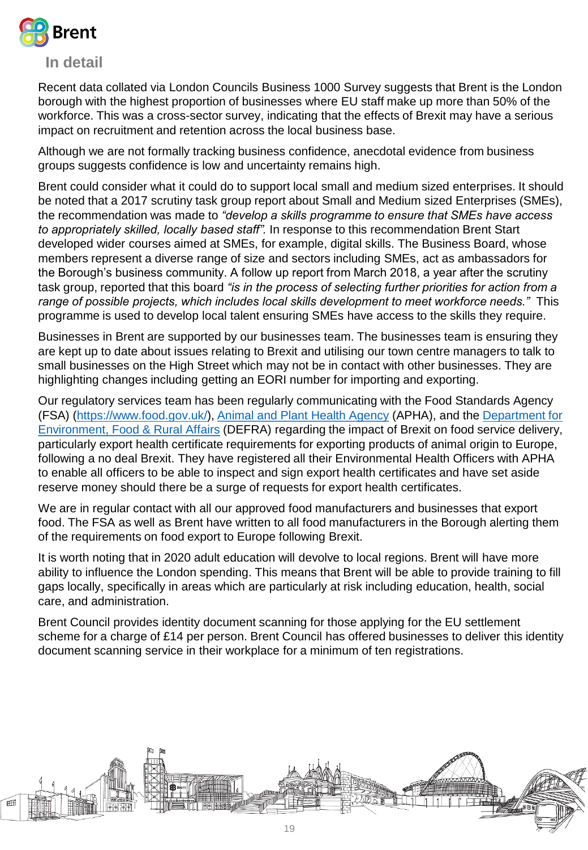

#### **In detail**

Recent data collated via London Councils Business 1000 Survey suggests that Brent is the London borough with the highest proportion of businesses where EU staff make up more than 50% of the workforce. This was a cross-sector survey, indicating that the effects of Brexit may have a serious impact on recruitment and retention across the local business base.

Although we are not formally tracking business confidence, anecdotal evidence from business groups suggests confidence is low and uncertainty remains high.

Brent could consider what it could do to support local small and medium sized enterprises. It should be noted that a 2017 scrutiny task group report about Small and Medium sized Enterprises (SMEs), the recommendation was made to *"develop a skills programme to ensure that SMEs have access to appropriately skilled, locally based staff".* In response to this recommendation Brent Start developed wider courses aimed at SMEs, for example, digital skills. The Business Board, whose members represent a diverse range of size and sectors including SMEs, act as ambassadors for the Borough's business community. A follow up report from March 2018, a year after the scrutiny task group, reported that this board *"is in the process of selecting further priorities for action from a range of possible projects, which includes local skills development to meet workforce needs."* This programme is used to develop local talent ensuring SMEs have access to the skills they require.

Businesses in Brent are supported by our businesses team. The businesses team is ensuring they are kept up to date about issues relating to Brexit and utilising our town centre managers to talk to small businesses on the High Street which may not be in contact with other businesses. They are highlighting changes including getting an EORI number for importing and exporting.

Our regulatory services team has been regularly communicating with the Food Standards Agency (FSA) (<https://www.food.gov.uk/>), [Animal and Plant Health Agency](https://www.gov.uk/government/organisations/animal-and-plant-health-agency) (APHA), and the Department for Environment, Food & Rural Affairs [\(DEFRA\) regarding the impact of Brexit on food service delivery,](https://www.gov.uk/government/organisations/department-for-environment-food-rural-affairs) particularly export health certificate requirements for exporting products of animal origin to Europe, following a no deal Brexit. They have registered all their Environmental Health Officers with APHA to enable all officers to be able to inspect and sign export health certificates and have set aside reserve money should there be a surge of requests for export health certificates.

We are in regular contact with all our approved food manufacturers and businesses that export food. The FSA as well as Brent have written to all food manufacturers in the Borough alerting them of the requirements on food export to Europe following Brexit.

It is worth noting that in 2020 adult education will devolve to local regions. Brent will have more ability to influence the London spending. This means that Brent will be able to provide training to fill gaps locally, specifically in areas which are particularly at risk including education, health, social care, and administration.

Brent Council provides identity document scanning for those applying for the EU settlement scheme for a charge of £14 per person. Brent Council has offered businesses to deliver this identity document scanning service in their workplace for a minimum of ten registrations.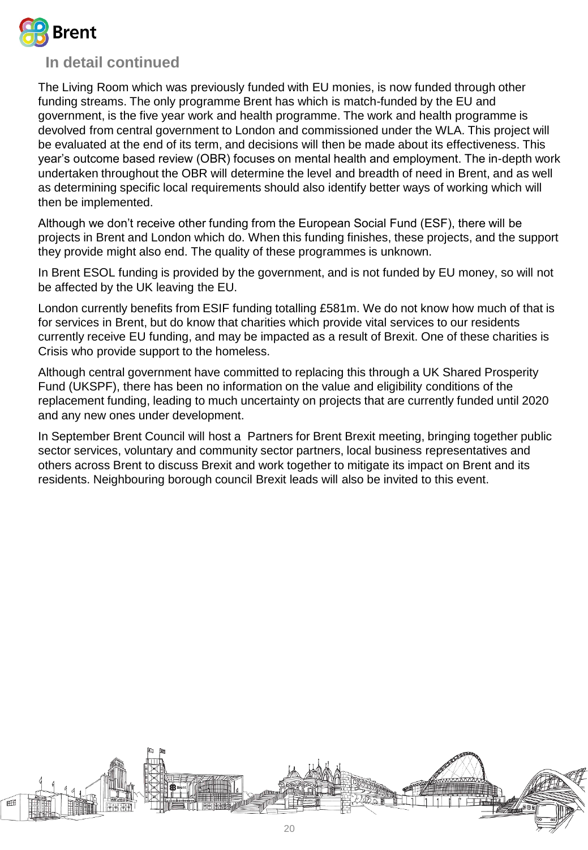

#### **In detail continued**

The Living Room which was previously funded with EU monies, is now funded through other funding streams. The only programme Brent has which is match-funded by the EU and government, is the five year work and health programme. The work and health programme is devolved from central government to London and commissioned under the WLA. This project will be evaluated at the end of its term, and decisions will then be made about its effectiveness. This year's outcome based review (OBR) focuses on mental health and employment. The in-depth work undertaken throughout the OBR will determine the level and breadth of need in Brent, and as well as determining specific local requirements should also identify better ways of working which will then be implemented.

Although we don't receive other funding from the European Social Fund (ESF), there will be projects in Brent and London which do. When this funding finishes, these projects, and the support they provide might also end. The quality of these programmes is unknown.

In Brent ESOL funding is provided by the government, and is not funded by EU money, so will not be affected by the UK leaving the EU.

London currently benefits from ESIF funding totalling £581m. We do not know how much of that is for services in Brent, but do know that charities which provide vital services to our residents currently receive EU funding, and may be impacted as a result of Brexit. One of these charities is Crisis who provide support to the homeless.

Although central government have committed to replacing this through a UK Shared Prosperity Fund (UKSPF), there has been no information on the value and eligibility conditions of the replacement funding, leading to much uncertainty on projects that are currently funded until 2020 and any new ones under development.

In September Brent Council will host a Partners for Brent Brexit meeting, bringing together public sector services, voluntary and community sector partners, local business representatives and others across Brent to discuss Brexit and work together to mitigate its impact on Brent and its residents. Neighbouring borough council Brexit leads will also be invited to this event.

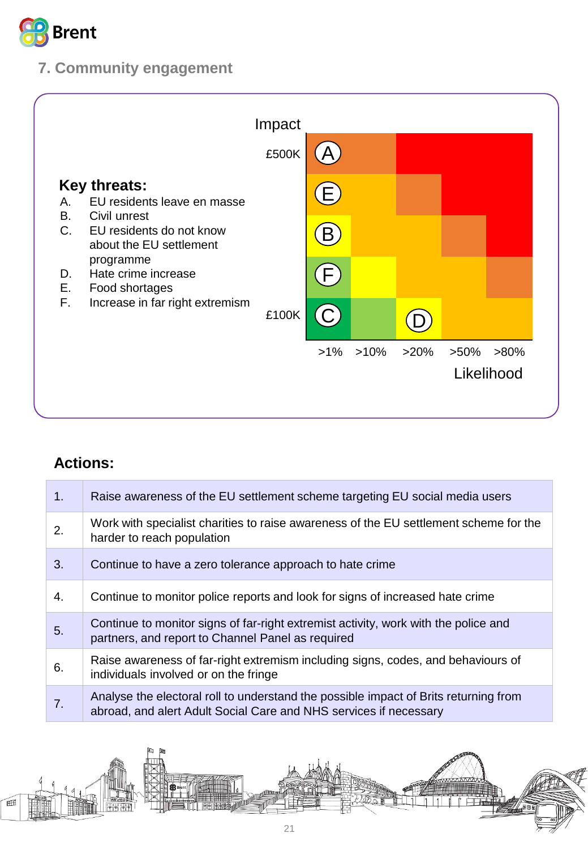

## **7. Community engagement**



| 1. | Raise awareness of the EU settlement scheme targeting EU social media users                                                                               |
|----|-----------------------------------------------------------------------------------------------------------------------------------------------------------|
| 2. | Work with specialist charities to raise awareness of the EU settlement scheme for the<br>harder to reach population                                       |
| 3. | Continue to have a zero tolerance approach to hate crime                                                                                                  |
| 4. | Continue to monitor police reports and look for signs of increased hate crime                                                                             |
| 5. | Continue to monitor signs of far-right extremist activity, work with the police and<br>partners, and report to Channel Panel as required                  |
| 6. | Raise awareness of far-right extremism including signs, codes, and behaviours of<br>individuals involved or on the fringe                                 |
| 7. | Analyse the electoral roll to understand the possible impact of Brits returning from<br>abroad, and alert Adult Social Care and NHS services if necessary |

<span id="page-20-0"></span>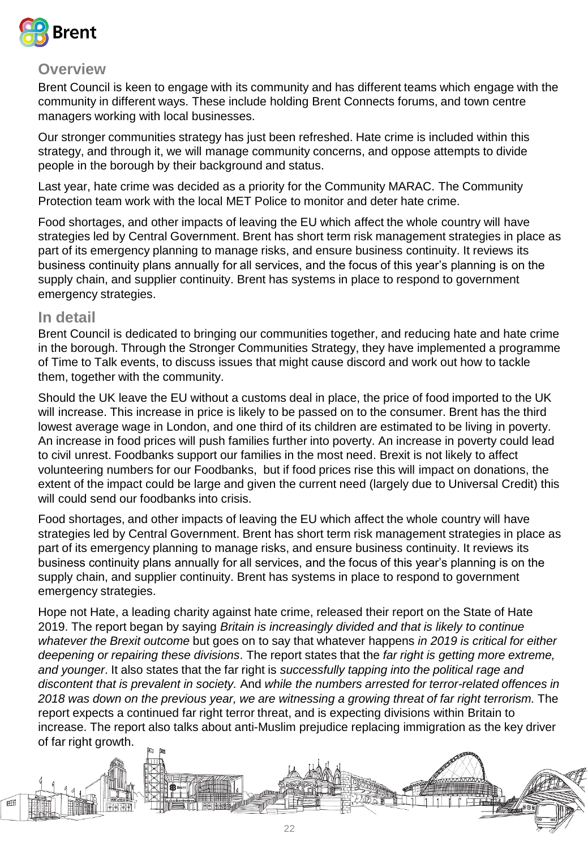

Brent Council is keen to engage with its community and has different teams which engage with the community in different ways. These include holding Brent Connects forums, and town centre managers working with local businesses.

Our stronger communities strategy has just been refreshed. Hate crime is included within this strategy, and through it, we will manage community concerns, and oppose attempts to divide people in the borough by their background and status.

Last year, hate crime was decided as a priority for the Community MARAC. The Community Protection team work with the local MET Police to monitor and deter hate crime.

Food shortages, and other impacts of leaving the EU which affect the whole country will have strategies led by Central Government. Brent has short term risk management strategies in place as part of its emergency planning to manage risks, and ensure business continuity. It reviews its business continuity plans annually for all services, and the focus of this year's planning is on the supply chain, and supplier continuity. Brent has systems in place to respond to government emergency strategies.

#### **In detail**

Brent Council is dedicated to bringing our communities together, and reducing hate and hate crime in the borough. Through the Stronger Communities Strategy, they have implemented a programme of Time to Talk events, to discuss issues that might cause discord and work out how to tackle them, together with the community.

Should the UK leave the EU without a customs deal in place, the price of food imported to the UK will increase. This increase in price is likely to be passed on to the consumer. Brent has the third lowest average wage in London, and one third of its children are estimated to be living in poverty. An increase in food prices will push families further into poverty. An increase in poverty could lead to civil unrest. Foodbanks support our families in the most need. Brexit is not likely to affect volunteering numbers for our Foodbanks, but if food prices rise this will impact on donations, the extent of the impact could be large and given the current need (largely due to Universal Credit) this will could send our foodbanks into crisis.

Food shortages, and other impacts of leaving the EU which affect the whole country will have strategies led by Central Government. Brent has short term risk management strategies in place as part of its emergency planning to manage risks, and ensure business continuity. It reviews its business continuity plans annually for all services, and the focus of this year's planning is on the supply chain, and supplier continuity. Brent has systems in place to respond to government emergency strategies.

Hope not Hate, a leading charity against hate crime, released their report on the State of Hate 2019. The report began by saying *Britain is increasingly divided and that is likely to continue whatever the Brexit outcome* but goes on to say that whatever happens *in 2019 is critical for either deepening or repairing these divisions*. The report states that the *far right is getting more extreme, and younger*. It also states that the far right is *successfully tapping into the political rage and discontent that is prevalent in society.* And *while the numbers arrested for terror-related offences in*  2018 was down on the previous year, we are witnessing a growing threat of far right terrorism. The report expects a continued far right terror threat, and is expecting divisions within Britain to increase. The report also talks about anti-Muslim prejudice replacing immigration as the key driver of far right growth.

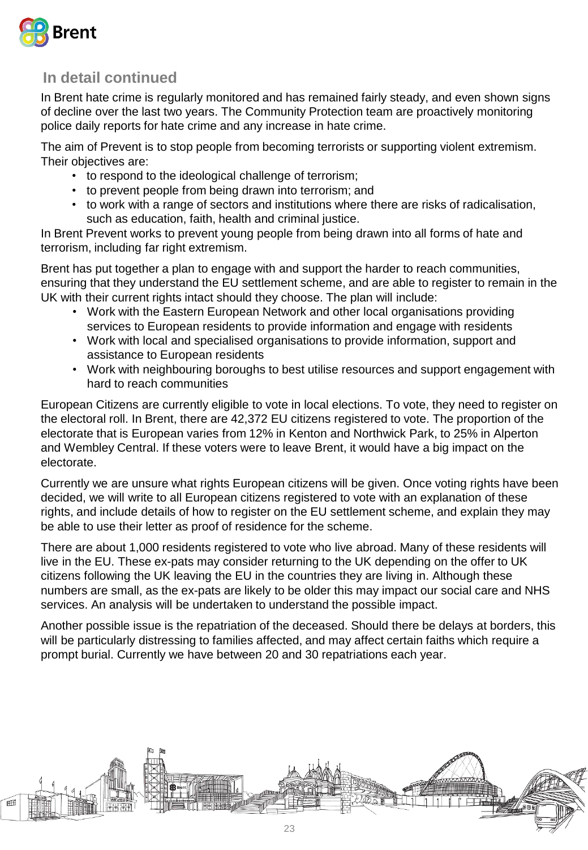

## **In detail continued**

In Brent hate crime is regularly monitored and has remained fairly steady, and even shown signs of decline over the last two years. The Community Protection team are proactively monitoring police daily reports for hate crime and any increase in hate crime.

The aim of Prevent is to stop people from becoming terrorists or supporting violent extremism. Their objectives are:

- to respond to the ideological challenge of terrorism;
- to prevent people from being drawn into terrorism; and
- to work with a range of sectors and institutions where there are risks of radicalisation, such as education, faith, health and criminal justice.

In Brent Prevent works to prevent young people from being drawn into all forms of hate and terrorism, including far right extremism.

Brent has put together a plan to engage with and support the harder to reach communities, ensuring that they understand the EU settlement scheme, and are able to register to remain in the UK with their current rights intact should they choose. The plan will include:

- Work with the Eastern European Network and other local organisations providing services to European residents to provide information and engage with residents
- Work with local and specialised organisations to provide information, support and assistance to European residents
- Work with neighbouring boroughs to best utilise resources and support engagement with hard to reach communities

European Citizens are currently eligible to vote in local elections. To vote, they need to register on the electoral roll. In Brent, there are 42,372 EU citizens registered to vote. The proportion of the electorate that is European varies from 12% in Kenton and Northwick Park, to 25% in Alperton and Wembley Central. If these voters were to leave Brent, it would have a big impact on the electorate.

Currently we are unsure what rights European citizens will be given. Once voting rights have been decided, we will write to all European citizens registered to vote with an explanation of these rights, and include details of how to register on the EU settlement scheme, and explain they may be able to use their letter as proof of residence for the scheme.

There are about 1,000 residents registered to vote who live abroad. Many of these residents will live in the EU. These ex-pats may consider returning to the UK depending on the offer to UK citizens following the UK leaving the EU in the countries they are living in. Although these numbers are small, as the ex-pats are likely to be older this may impact our social care and NHS services. An analysis will be undertaken to understand the possible impact.

Another possible issue is the repatriation of the deceased. Should there be delays at borders, this will be particularly distressing to families affected, and may affect certain faiths which require a prompt burial. Currently we have between 20 and 30 repatriations each year.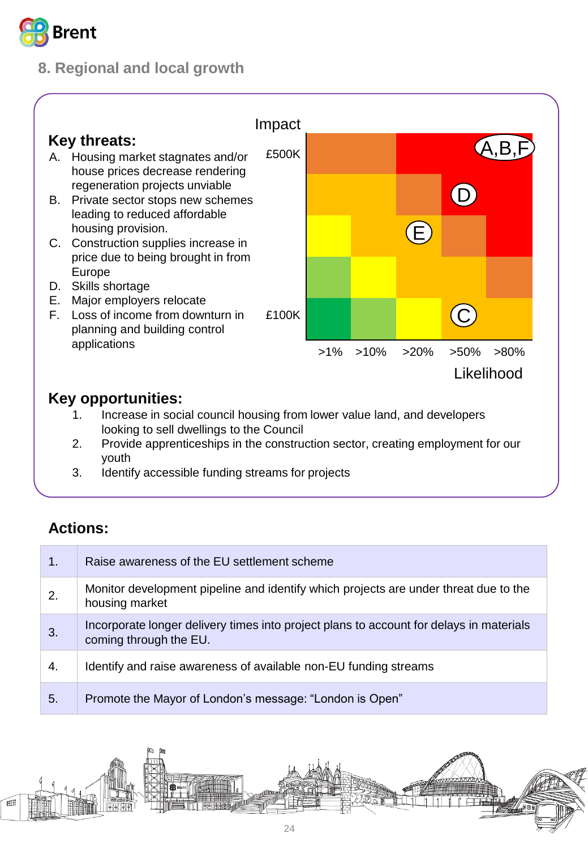

## **8. Regional and local growth**



- youth
- 3. Identify accessible funding streams for projects

| 1. | Raise awareness of the EU settlement scheme                                                                       |
|----|-------------------------------------------------------------------------------------------------------------------|
| 2. | Monitor development pipeline and identify which projects are under threat due to the<br>housing market            |
| 3. | Incorporate longer delivery times into project plans to account for delays in materials<br>coming through the EU. |
| 4. | Identify and raise awareness of available non-EU funding streams                                                  |
| 5. | Promote the Mayor of London's message: "London is Open"                                                           |

<span id="page-23-0"></span>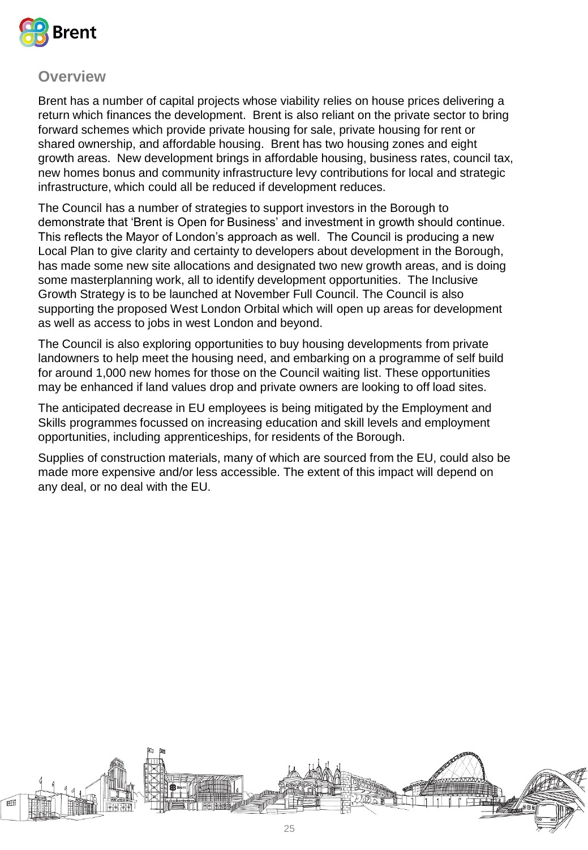

Brent has a number of capital projects whose viability relies on house prices delivering a return which finances the development. Brent is also reliant on the private sector to bring forward schemes which provide private housing for sale, private housing for rent or shared ownership, and affordable housing. Brent has two housing zones and eight growth areas. New development brings in affordable housing, business rates, council tax, new homes bonus and community infrastructure levy contributions for local and strategic infrastructure, which could all be reduced if development reduces.

The Council has a number of strategies to support investors in the Borough to demonstrate that 'Brent is Open for Business' and investment in growth should continue. This reflects the Mayor of London's approach as well. The Council is producing a new Local Plan to give clarity and certainty to developers about development in the Borough, has made some new site allocations and designated two new growth areas, and is doing some masterplanning work, all to identify development opportunities. The Inclusive Growth Strategy is to be launched at November Full Council. The Council is also supporting the proposed West London Orbital which will open up areas for development as well as access to jobs in west London and beyond.

The Council is also exploring opportunities to buy housing developments from private landowners to help meet the housing need, and embarking on a programme of self build for around 1,000 new homes for those on the Council waiting list. These opportunities may be enhanced if land values drop and private owners are looking to off load sites.

The anticipated decrease in EU employees is being mitigated by the Employment and Skills programmes focussed on increasing education and skill levels and employment opportunities, including apprenticeships, for residents of the Borough.

Supplies of construction materials, many of which are sourced from the EU, could also be made more expensive and/or less accessible. The extent of this impact will depend on any deal, or no deal with the EU.

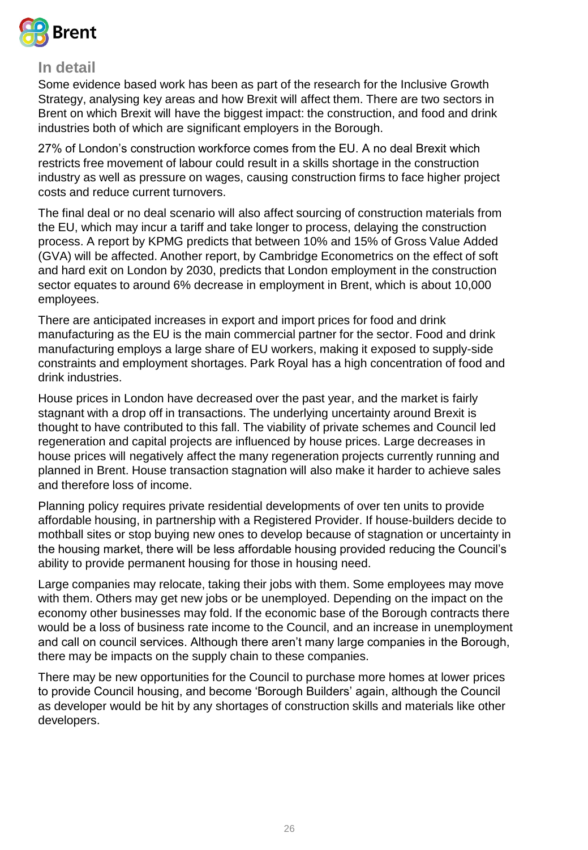

#### **In detail**

Some evidence based work has been as part of the research for the Inclusive Growth Strategy, analysing key areas and how Brexit will affect them. There are two sectors in Brent on which Brexit will have the biggest impact: the construction, and food and drink industries both of which are significant employers in the Borough.

27% of London's construction workforce comes from the EU. A no deal Brexit which restricts free movement of labour could result in a skills shortage in the construction industry as well as pressure on wages, causing construction firms to face higher project costs and reduce current turnovers.

The final deal or no deal scenario will also affect sourcing of construction materials from the EU, which may incur a tariff and take longer to process, delaying the construction process. A report by KPMG predicts that between 10% and 15% of Gross Value Added (GVA) will be affected. Another report, by Cambridge Econometrics on the effect of soft and hard exit on London by 2030, predicts that London employment in the construction sector equates to around 6% decrease in employment in Brent, which is about 10,000 employees.

There are anticipated increases in export and import prices for food and drink manufacturing as the EU is the main commercial partner for the sector. Food and drink manufacturing employs a large share of EU workers, making it exposed to supply-side constraints and employment shortages. Park Royal has a high concentration of food and drink industries.

House prices in London have decreased over the past year, and the market is fairly stagnant with a drop off in transactions. The underlying uncertainty around Brexit is thought to have contributed to this fall. The viability of private schemes and Council led regeneration and capital projects are influenced by house prices. Large decreases in house prices will negatively affect the many regeneration projects currently running and planned in Brent. House transaction stagnation will also make it harder to achieve sales and therefore loss of income.

Planning policy requires private residential developments of over ten units to provide affordable housing, in partnership with a Registered Provider. If house-builders decide to mothball sites or stop buying new ones to develop because of stagnation or uncertainty in the housing market, there will be less affordable housing provided reducing the Council's ability to provide permanent housing for those in housing need.

Large companies may relocate, taking their jobs with them. Some employees may move with them. Others may get new jobs or be unemployed. Depending on the impact on the economy other businesses may fold. If the economic base of the Borough contracts there would be a loss of business rate income to the Council, and an increase in unemployment and call on council services. Although there aren't many large companies in the Borough, there may be impacts on the supply chain to these companies.

There may be new opportunities for the Council to purchase more homes at lower prices to provide Council housing, and become 'Borough Builders' again, although the Council as developer would be hit by any shortages of construction skills and materials like other developers.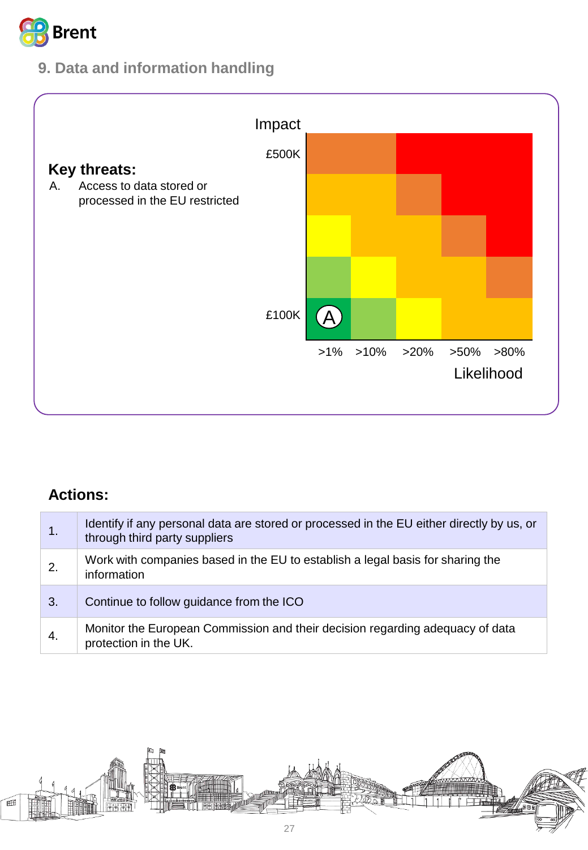

## **9. Data and information handling**



| 1. | Identify if any personal data are stored or processed in the EU either directly by us, or<br>through third party suppliers |
|----|----------------------------------------------------------------------------------------------------------------------------|
| 2. | Work with companies based in the EU to establish a legal basis for sharing the<br>information                              |
| 3. | Continue to follow guidance from the ICO                                                                                   |
| 4. | Monitor the European Commission and their decision regarding adequacy of data<br>protection in the UK.                     |

<span id="page-26-0"></span>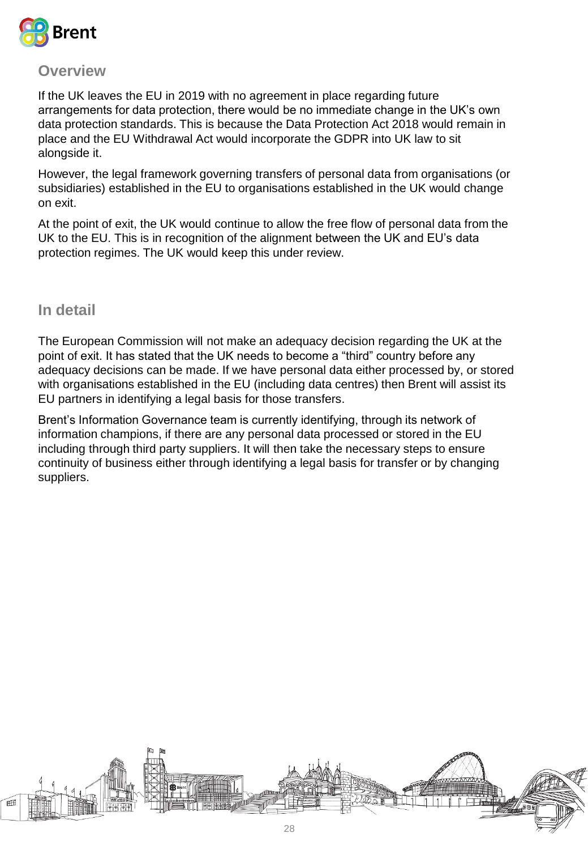

If the UK leaves the EU in 2019 with no agreement in place regarding future arrangements for data protection, there would be no immediate change in the UK's own data protection standards. This is because the Data Protection Act 2018 would remain in place and the EU Withdrawal Act would incorporate the GDPR into UK law to sit alongside it.

However, the legal framework governing transfers of personal data from organisations (or subsidiaries) established in the EU to organisations established in the UK would change on exit.

At the point of exit, the UK would continue to allow the free flow of personal data from the UK to the EU. This is in recognition of the alignment between the UK and EU's data protection regimes. The UK would keep this under review.

**In detail**

The European Commission will not make an adequacy decision regarding the UK at the point of exit. It has stated that the UK needs to become a "third" country before any adequacy decisions can be made. If we have personal data either processed by, or stored with organisations established in the EU (including data centres) then Brent will assist its EU partners in identifying a legal basis for those transfers.

Brent's Information Governance team is currently identifying, through its network of information champions, if there are any personal data processed or stored in the EU including through third party suppliers. It will then take the necessary steps to ensure continuity of business either through identifying a legal basis for transfer or by changing suppliers.